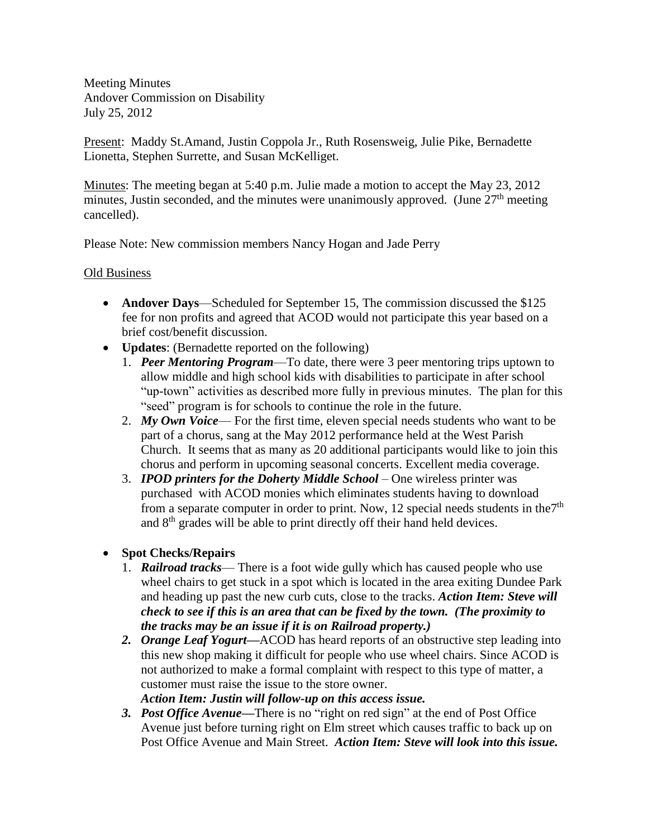Meeting Minutes Andover Commission on Disability July 25, 2012

Present: Maddy St.Amand, Justin Coppola Jr., Ruth Rosensweig, Julie Pike, Bernadette Lionetta, Stephen Surrette, and Susan McKelliget.

Minutes: The meeting began at 5:40 p.m. Julie made a motion to accept the May 23, 2012 minutes, Justin seconded, and the minutes were unanimously approved. (June  $27<sup>th</sup>$  meeting cancelled).

Please Note: New commission members Nancy Hogan and Jade Perry

## Old Business

- **Andover Days**—Scheduled for September 15, The commission discussed the \$125 fee for non profits and agreed that ACOD would not participate this year based on a brief cost/benefit discussion.
- **Updates:** (Bernadette reported on the following)
	- 1. *Peer Mentoring Program*—To date, there were 3 peer mentoring trips uptown to allow middle and high school kids with disabilities to participate in after school "up-town" activities as described more fully in previous minutes. The plan for this "seed" program is for schools to continue the role in the future.
	- 2. *My Own Voice* For the first time, eleven special needs students who want to be part of a chorus, sang at the May 2012 performance held at the West Parish Church. It seems that as many as 20 additional participants would like to join this chorus and perform in upcoming seasonal concerts. Excellent media coverage.
	- 3. *IPOD printers for the Doherty Middle School* One wireless printer was purchased with ACOD monies which eliminates students having to download from a separate computer in order to print. Now, 12 special needs students in the  $7<sup>th</sup>$ and 8th grades will be able to print directly off their hand held devices.

## **Spot Checks/Repairs**

- 1. *Railroad tracks* There is a foot wide gully which has caused people who use wheel chairs to get stuck in a spot which is located in the area exiting Dundee Park and heading up past the new curb cuts, close to the tracks. *Action Item: Steve will check to see if this is an area that can be fixed by the town. (The proximity to the tracks may be an issue if it is on Railroad property.)*
- *2. Orange Leaf Yogurt—*ACOD has heard reports of an obstructive step leading into this new shop making it difficult for people who use wheel chairs. Since ACOD is not authorized to make a formal complaint with respect to this type of matter, a customer must raise the issue to the store owner.
	- *Action Item: Justin will follow-up on this access issue.*
- *3. Post Office Avenue—*There is no "right on red sign" at the end of Post Office Avenue just before turning right on Elm street which causes traffic to back up on Post Office Avenue and Main Street. *Action Item: Steve will look into this issue.*